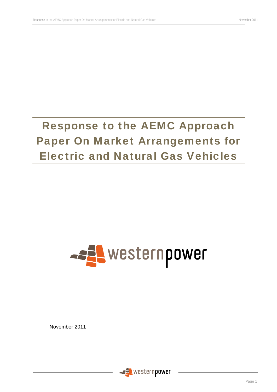# Response to the AEMC Approach Paper On Market Arrangements for Electric and Natural Gas Vehicles

# **ARE WESTERN POWER**

November 2011

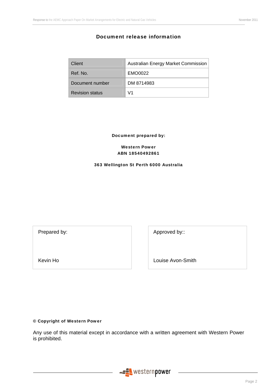# Document release information

| Client                 | Australian Energy Market Commission |
|------------------------|-------------------------------------|
| Ref. No.               | EMO0022                             |
| Document number        | DM 8714983                          |
| <b>Revision status</b> | \/1                                 |

Document prepared by:

Western Power ABN 18540492861

#### 363 Wellington St Perth 6000 Australia

Prepared by:  $\qquad \qquad$  Approved by:

Kevin Ho **Louise Avon-Smith** 

# © Copyright of Western Power

Any use of this material except in accordance with a written agreement with Western Power is prohibited.

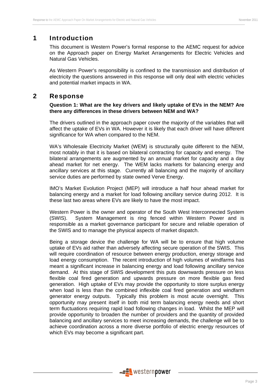# 1 Introduction

This document is Western Power's formal response to the AEMC request for advice on the Approach paper on Energy Market Arrangements for Electric Vehicles and Natural Gas Vehicles.

As Western Power's responsibility is confined to the transmission and distribution of electricity the questions answered in this response will only deal with electric vehicles and potential market impacts in WA.

# 2 Response

# **Question 1: What are the key drivers and likely uptake of EVs in the NEM? Are there any differences in these drivers between NEM and WA?**

The drivers outlined in the approach paper cover the majority of the variables that will affect the uptake of EVs in WA. However it is likely that each driver will have different significance for WA when compared to the NEM.

WA's Wholesale Electricity Market (WEM) is structurally quite different to the NEM, most notably in that it is based on bilateral contracting for capacity and energy. The bilateral arrangements are augmented by an annual market for capacity and a day ahead market for net energy. The WEM lacks markets for balancing energy and ancillary services at this stage. Currently all balancing and the majority of ancillary service duties are performed by state owned Verve Energy.

IMO's Market Evolution Project (MEP) will introduce a half hour ahead market for balancing energy and a market for load following ancillary service during 2012. It is these last two areas where EVs are likely to have the most impact.

Western Power is the owner and operator of the South West Interconnected System (SWIS). System Management is ring fenced within Western Power and is responsible as a market governance participant for secure and reliable operation of the SWIS and to manage the physical aspects of market dispatch.

Being a storage device the challenge for WA will be to ensure that high volume uptake of EVs aid rather than adversely affecting secure operation of the SWIS. This will require coordination of resource between energy production, energy storage and load energy consumption. The recent introduction of high volumes of windfarms has meant a significant increase in balancing energy and load following ancillary service demand. At this stage of SWIS development this puts downwards pressure on less flexible coal fired generation and upwards pressure on more flexible gas fired generation. High uptake of EVs may provide the opportunity to store surplus energy when load is less than the combined inflexible coal fired generation and windfarm generator energy outputs. Typically this problem is most acute overnight. This opportunity may present itself in both mid term balancing energy needs and short term fluctuations requiring rapid load following changes in load. Whilst the MEP will provide opportunity to broaden the number of providers and the quantity of provided balancing and ancillary services to meet increasing demands, the challenge will be to achieve coordination across a more diverse portfolio of electric energy resources of which EVs may become a significant part.

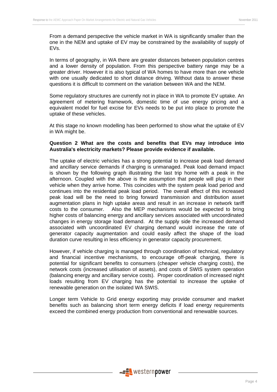From a demand perspective the vehicle market in WA is significantly smaller than the one in the NEM and uptake of EV may be constrained by the availability of supply of EVs.

In terms of geography, in WA there are greater distances between population centres and a lower density of population. From this perspective battery range may be a greater driver. However it is also typical of WA homes to have more than one vehicle with one usually dedicated to short distance driving. Without data to answer these questions it is difficult to comment on the variation between WA and the NEM.

Some regulatory structures are currently not in place in WA to promote EV uptake. An agreement of metering framework, domestic time of use energy pricing and a equivalent model for fuel excise for EVs needs to be put into place to promote the uptake of these vehicles.

At this stage no known modelling has been performed to show what the uptake of EV in WA might be.

# **Question 2 What are the costs and benefits that EVs may introduce into Australia's electricity markets? Please provide evidence if available.**

The uptake of electric vehicles has a strong potential to increase peak load demand and ancillary service demands if charging is unmanaged. Peak load demand impact is shown by the following graph illustrating the last trip home with a peak in the afternoon. Coupled with the above is the assumption that people will plug in their vehicle when they arrive home. This coincides with the system peak load period and continues into the residential peak load period. The overall effect of this increased peak load will be the need to bring forward transmission and distribution asset augmentation plans in high uptake areas and result in an increase in network tariff costs to the consumer. Also the MEP mechanisms would be expected to bring higher costs of balancing energy and ancillary services associated with uncoordinated changes in energy storage load demand. At the supply side the increased demand associated with uncoordinated EV charging demand would increase the rate of generator capacity augmentation and could easily affect the shape of the load duration curve resulting in less efficiency in generator capacity procurement.

However, if vehicle charging is managed through coordination of technical, regulatory and financial incentive mechanisms, to encourage off-peak charging, there is potential for significant benefits to consumers (cheaper vehicle charging costs), the network costs (increased utilisation of assets), and costs of SWIS system operation (balancing energy and ancillary service costs). Proper coordination of increased night loads resulting from EV charging has the potential to increase the uptake of renewable generation on the isolated WA SWIS.

Longer term Vehicle to Grid energy exporting may provide consumer and market benefits such as balancing short term energy deficits if load energy requirements exceed the combined energy production from conventional and renewable sources.

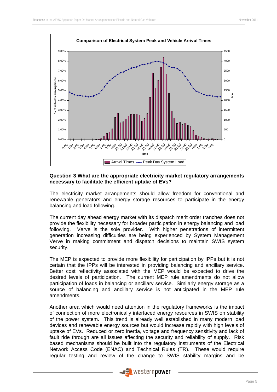

# **Question 3 What are the appropriate electricity market regulatory arrangements necessary to facilitate the efficient uptake of EVs?**

The electricity market arrangements should allow freedom for conventional and renewable generators and energy storage resources to participate in the energy balancing and load following.

The current day ahead energy market with its dispatch merit order tranches does not provide the flexibility necessary for broader participation in energy balancing and load following. Verve is the sole provider. With higher penetrations of intermittent generation increasing difficulties are being experienced by System Management Verve in making commitment and dispatch decisions to maintain SWIS system security.

The MEP is expected to provide more flexibility for participation by IPPs but it is not certain that the IPPs will be interested in providing balancing and ancillary service. Better cost reflectivity associated with the MEP would be expected to drive the desired levels of participation. The current MEP rule amendments do not allow participation of loads in balancing or ancillary service. Similarly energy storage as a source of balancing and ancillary service is not anticipated in the MEP rule amendments.

Another area which would need attention in the regulatory frameworks is the impact of connection of more electronically interfaced energy resources in SWIS on stability of the power system. This trend is already well established in many modern load devices and renewable energy sources but would increase rapidly with high levels of uptake of EVs. Reduced or zero inertia, voltage and frequency sensitivity and lack of fault ride through are all issues affecting the security and reliability of supply. Risk based mechanisms should be built into the regulatory instruments of the Electrical Network Access Code (ENAC) and Technical Rules (TR). These would require regular testing and review of the change to SWIS stability margins and be